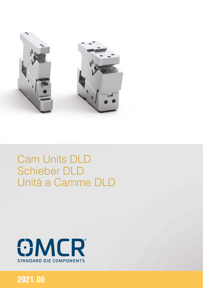

# **Cam Units DLD Schieber DLD** Unità a Camme DLD



# 2021.00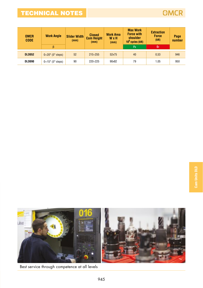# TECHNICAL NOTES



| <b>OMCR</b><br><b>CODE</b> | <b>Work Angle</b>             | <b>Slider Width</b><br>(mm) | <b>Closed</b><br><b>Cam Height</b><br>(mm) | <b>Work Area</b><br>WxH<br>(mm) | <b>Max Work</b><br><b>Force with</b><br>shoulder<br>$10^6$ cycles (kN) | <b>Extraction</b><br>Force<br>(kN) | Page<br>number |
|----------------------------|-------------------------------|-----------------------------|--------------------------------------------|---------------------------------|------------------------------------------------------------------------|------------------------------------|----------------|
|                            | β                             |                             |                                            |                                 | Fs                                                                     | EF                                 |                |
| <b>DLD052</b>              | $0\div 20^\circ$ (5° steps)   | 52                          | $215 \div 255$                             | 52x75                           | 40                                                                     | 0.53                               | 946            |
| DLD090                     | $0\div 15^{\circ}$ (5° steps) | 90                          | $220 \div 225$                             | 90x82                           | 79                                                                     | 1.05                               | 950            |



Best service through competence at all levels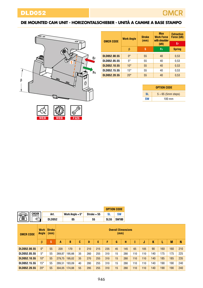<span id="page-2-0"></span>

|                  | <b>Work Angle</b>  | <b>Stroke</b><br>(mm) | <b>Max</b><br><b>Work Force</b><br>with shoulder | <b>Extraction</b><br>Force (kN) |  |
|------------------|--------------------|-----------------------|--------------------------------------------------|---------------------------------|--|
| <b>OMCR CODE</b> |                    |                       | (kN)                                             | EF                              |  |
|                  | β                  | s                     | Fs                                               | <b>Spring</b>                   |  |
|                  |                    |                       |                                                  |                                 |  |
| DLD052.00.55     | $\mathsf{O}^\circ$ | 55                    | 40                                               | 0.53                            |  |
| DLD052.05.55     | 5°                 | 55                    | 40                                               | 0.53                            |  |
| DLD052.10.55     | $10^{\circ}$       | 55                    | 40                                               | 0.53                            |  |
| DLD052.15.55     | $15^{\circ}$       | 55                    | 40                                               | 0.53                            |  |
| DLD052.20.55     | $20^{\circ}$       | 55                    | 40                                               | 0.53                            |  |

|           | <b>OPTION CODE</b>      |
|-----------|-------------------------|
| <b>SI</b> | $5 \div 65$ (5mm steps) |
| <b>SW</b> | $100 \text{ mm}$        |

|                         |                      |                       |        |                        |          |     |               |             | <b>OPTION CODE</b> |                           |     |     |     |     |     |     |
|-------------------------|----------------------|-----------------------|--------|------------------------|----------|-----|---------------|-------------|--------------------|---------------------------|-----|-----|-----|-----|-----|-----|
| <b>ORDER</b><br>EXAMPLE |                      | Art.                  |        | Work Angle $= 5^\circ$ |          |     | $Stroke = 55$ | <b>SL</b>   | <b>SW</b>          |                           |     |     |     |     |     |     |
| T<br>⇐                  |                      | <b>DLD052</b>         |        | 05                     |          |     | 55            | <b>SL55</b> | <b>SW100</b>       |                           |     |     |     |     |     |     |
| <b>OMCR CODE</b>        | <b>Work</b><br>Angle | <b>Stroke</b><br>(mm) |        |                        |          |     |               |             | (mm)               | <b>Overall Dimensions</b> |     |     |     |     |     |     |
|                         | $\beta$              | S                     | A      | B                      | C        | D   | E             | F           | G                  | н                         |     | J   | K   | L   | M   | N   |
| DLD052.00.55            | $0^{\circ}$          | 55                    | 220    | 170                    | $\Omega$ | 210 | 215           | 235         | 45                 | 145                       | 65  | 105 | 90  | 160 | 160 | 210 |
| DLD052.05.55            | $5^\circ$            | 55                    | 269.87 | 195,66                 | 35       | 260 | 255           | 310         | 15                 | 280                       | 110 | 110 | 140 | 175 | 175 | 225 |
| DLD052.10.55            | $10^{\circ}$         | 55                    | 279.75 | 195.02                 | 35       | 270 | 255           | 310         | 15                 | 280                       | 110 | 110 | 140 | 185 | 185 | 235 |
| DLD052.15.55            | $15^\circ$           | 55                    | 289.51 | 193.09                 | 40       | 280 | 255           | 310         | 15                 | 280                       | 110 | 110 | 140 | 190 | 190 | 240 |
| DLD052.20.55            | $20^{\circ}$         | 55                    | 304.05 | 174.88                 | 55       | 295 | 255           | 310         | 15                 | 280                       | 110 | 110 | 140 | 190 | 190 | 240 |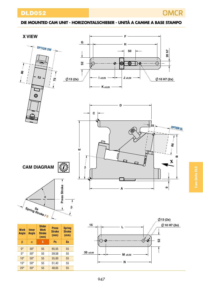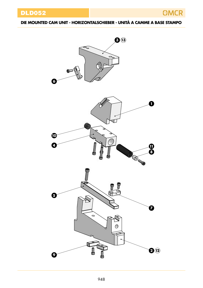DLD052



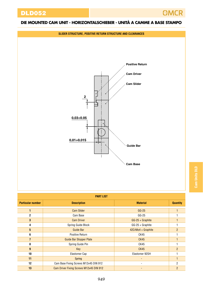

| <b>PART LIST</b>         |                                         |                              |                 |  |  |  |  |  |  |  |
|--------------------------|-----------------------------------------|------------------------------|-----------------|--|--|--|--|--|--|--|
| <b>Particular number</b> | <b>Description</b>                      | <b>Material</b>              | <b>Quantity</b> |  |  |  |  |  |  |  |
| 1                        | <b>Cam Slider</b>                       | $GG-25$                      |                 |  |  |  |  |  |  |  |
| 2                        | Cam Base                                | $GG-25$                      |                 |  |  |  |  |  |  |  |
| 3                        | <b>Cam Driver</b>                       | $GG-25 + Graphite$           |                 |  |  |  |  |  |  |  |
| 4                        | Spring Guide Block                      | GG-25 + Graphite             |                 |  |  |  |  |  |  |  |
| 5                        | Guide Bar                               | 42CrMo4 + Graphite           | $\overline{2}$  |  |  |  |  |  |  |  |
| 6                        | Positive Return                         | CK45                         |                 |  |  |  |  |  |  |  |
| $\overline{7}$           | <b>Guide Bar Stopper Plate</b>          | <b>CK45</b>                  |                 |  |  |  |  |  |  |  |
| 8                        | Spring Guide Pin                        | CK45                         |                 |  |  |  |  |  |  |  |
| $\mathbf{g}$             | Key                                     | <b>CK45</b>                  | $\overline{2}$  |  |  |  |  |  |  |  |
| 10                       | Elastomer Cap                           | Elastomer 92SH               |                 |  |  |  |  |  |  |  |
| 11                       | Spring                                  | $\overline{a}$               |                 |  |  |  |  |  |  |  |
| 12                       | Cam Base Fixing Screws M12x45 DIN 912   |                              | 2               |  |  |  |  |  |  |  |
| 13                       | Cam Driver Fixing Screws M12x45 DIN 912 | $\qquad \qquad \blacksquare$ | $\overline{2}$  |  |  |  |  |  |  |  |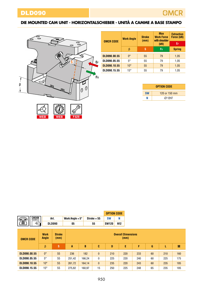<span id="page-6-0"></span>

| <b>OMCR CODE</b> | <b>Work Angle</b>  | <b>Stroke</b><br>(mm) | <b>Max</b><br><b>Work Force</b><br>with shoulder | <b>Extraction</b><br>Force (kN) |
|------------------|--------------------|-----------------------|--------------------------------------------------|---------------------------------|
|                  |                    |                       | (kN)                                             | EF                              |
|                  | β                  | s                     | Fs                                               | <b>Spring</b>                   |
| DLD090.00.55     | $\mathsf{O}^\circ$ | 55                    | 79                                               | 1,05                            |
| DLD090.05.55     | $5^{\circ}$        | 55                    | 79                                               | 1.05                            |
| DLD090.10.55     | $10^{\circ}$       | 55                    | 79                                               | 1,05                            |
| DLD090.15.55     | $15^{\circ}$       | 55                    | 79                                               | 1,05                            |

|           | <b>OPTION CODE</b> |
|-----------|--------------------|
| <b>SW</b> | 120 or 150 mm      |
|           | Ø12H7              |

|                  |                      |               |                       |                          |               | <b>OPTION CODE</b> |     |                                   |  |  |
|------------------|----------------------|---------------|-----------------------|--------------------------|---------------|--------------------|-----|-----------------------------------|--|--|
| <b>ORDER</b>     |                      | Art.          |                       | Work Angle $= 5^{\circ}$ | $Stroke = 55$ | <b>SW</b>          | Ν   |                                   |  |  |
| Ħ<br>$\approx$   |                      | <b>DLD090</b> |                       | 05                       | 55            | <b>SW120</b>       | N12 |                                   |  |  |
|                  |                      |               |                       |                          |               |                    |     |                                   |  |  |
| <b>OMCR CODE</b> | <b>Work</b><br>Angle |               | <b>Stroke</b><br>(mm) |                          |               |                    |     | <b>Overall Dimensions</b><br>(mm) |  |  |
|                  |                      |               |                       |                          |               |                    |     |                                   |  |  |

|              | β            |    | A      | B      | c        | D   |     |     | G  |     | M   |
|--------------|--------------|----|--------|--------|----------|-----|-----|-----|----|-----|-----|
|              |              |    |        |        |          |     |     |     |    |     |     |
| DLD090.00.55 | $0^{\circ}$  | 55 | 236    | 182    | $\bf{0}$ | 210 | 220 | 233 | 60 | 210 | 160 |
| DLD090.05.55 | $5^{\circ}$  | 55 | 251.42 | 166.24 | 0        | 225 | 220 | 240 | 60 | 225 | 175 |
| DLD090.10.55 | $10^{\circ}$ | 55 | 261.72 | 164.14 | $\bf{0}$ | 235 | 220 | 243 | 60 | 235 | 185 |
| DLD090.15.55 | $15^{\circ}$ | 55 | 275.82 | 160.97 | 15       | 250 | 225 | 248 | 65 | 235 | 185 |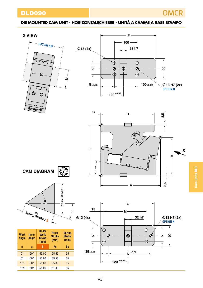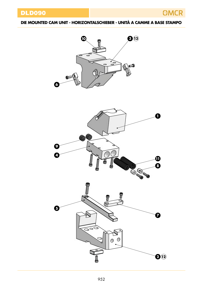DLD090







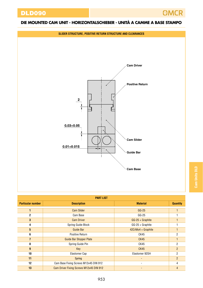

| í | l                |  |
|---|------------------|--|
|   |                  |  |
|   | ׇ֚֬<br>۲         |  |
| r | ֘<br>ı<br>i<br>I |  |
|   | i                |  |
|   |                  |  |
|   |                  |  |
|   |                  |  |
| ľ | ׇ֚֚֬֕            |  |

| PART LIST                |                                         |                    |                 |  |  |  |  |  |  |
|--------------------------|-----------------------------------------|--------------------|-----------------|--|--|--|--|--|--|
| <b>Particular number</b> | <b>Description</b>                      | <b>Material</b>    | <b>Quantity</b> |  |  |  |  |  |  |
|                          | <b>Cam Slider</b>                       | $GG-25$            |                 |  |  |  |  |  |  |
| $\mathbf{2}$             | Cam Base                                | $GG-25$            |                 |  |  |  |  |  |  |
| 3                        | <b>Cam Driver</b>                       | GG-25 + Graphite   |                 |  |  |  |  |  |  |
| 4                        | Spring Guide Block                      | GG-25 + Graphite   |                 |  |  |  |  |  |  |
| 5                        | Guide Bar                               | 42CrMo4 + Graphite |                 |  |  |  |  |  |  |
| 6                        | Positive Return                         | CK45               | 2               |  |  |  |  |  |  |
| $\overline{7}$           | <b>Guide Bar Stopper Plate</b>          | <b>CK45</b>        |                 |  |  |  |  |  |  |
| 8                        | Spring Guide Pin                        | CK45               | $\overline{2}$  |  |  |  |  |  |  |
| 9                        | Key                                     | CK45               | $\overline{2}$  |  |  |  |  |  |  |
| 10                       | Elastomer Cap                           | Elastomer 92SH     | 2               |  |  |  |  |  |  |
| 11                       | <b>Spring</b>                           |                    | $\overline{2}$  |  |  |  |  |  |  |
| 12                       | Cam Base Fixing Screws M12x45 DIN 912   | ۰                  | 4               |  |  |  |  |  |  |
| 13                       | Cam Driver Fixing Screws M12x45 DIN 912 |                    | 4               |  |  |  |  |  |  |